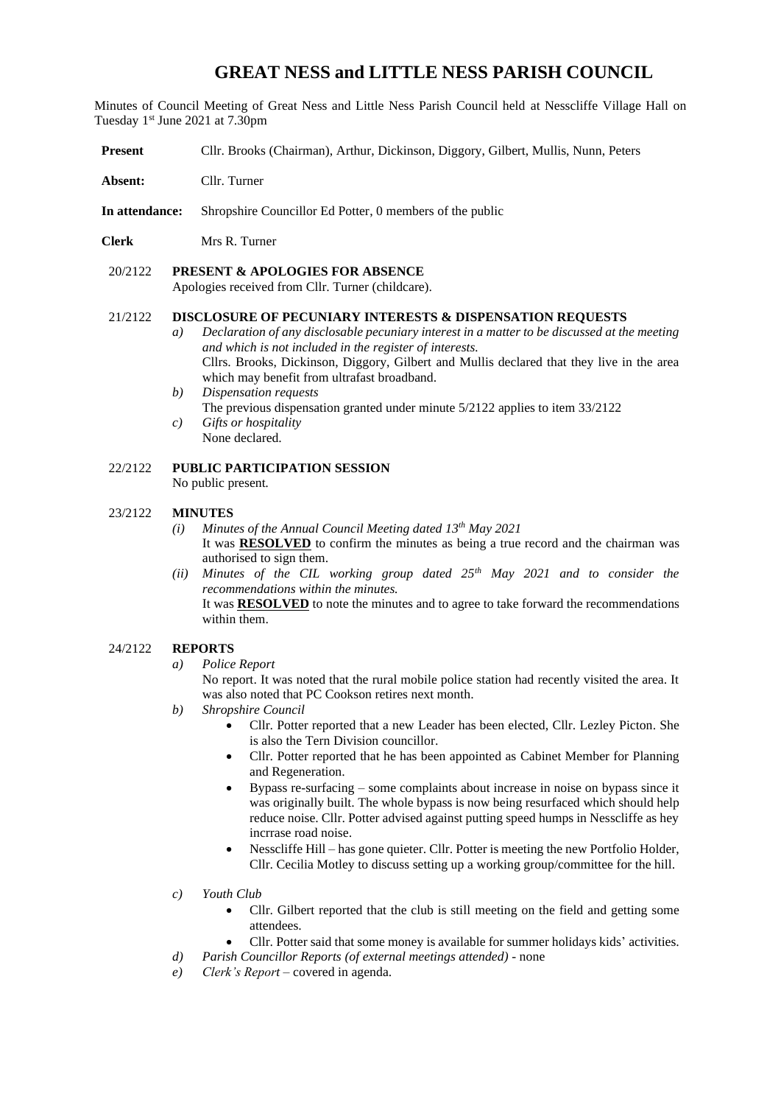# **GREAT NESS and LITTLE NESS PARISH COUNCIL**

Minutes of Council Meeting of Great Ness and Little Ness Parish Council held at Nesscliffe Village Hall on Tuesday 1st June 2021 at 7.30pm

- **Present** Cllr. Brooks (Chairman), Arthur, Dickinson, Diggory, Gilbert, Mullis, Nunn, Peters
- **Absent:** Cllr. Turner
- **In attendance:** Shropshire Councillor Ed Potter, 0 members of the public
- **Clerk** Mrs R. Turner

#### 20/2122 **PRESENT & APOLOGIES FOR ABSENCE**

Apologies received from Cllr. Turner (childcare).

#### 21/2122 **DISCLOSURE OF PECUNIARY INTERESTS & DISPENSATION REQUESTS**

- *a) Declaration of any disclosable pecuniary interest in a matter to be discussed at the meeting and which is not included in the register of interests.*  Cllrs. Brooks, Dickinson, Diggory, Gilbert and Mullis declared that they live in the area which may benefit from ultrafast broadband.
- *b) Dispensation requests* The previous dispensation granted under minute 5/2122 applies to item 33/2122 *c) Gifts or hospitality* 
	- None declared.

## 22/2122 **PUBLIC PARTICIPATION SESSION**

No public present*.*

#### 23/2122 **MINUTES**

- *(i) Minutes of the Annual Council Meeting dated 13th May 2021*  It was **RESOLVED** to confirm the minutes as being a true record and the chairman was authorised to sign them.
- *(ii) Minutes of the CIL working group dated 25th May 2021 and to consider the recommendations within the minutes.*

It was **RESOLVED** to note the minutes and to agree to take forward the recommendations within them.

#### 24/2122 **REPORTS**

*a) Police Report* 

No report. It was noted that the rural mobile police station had recently visited the area. It was also noted that PC Cookson retires next month.

- *b) Shropshire Council* 
	- Cllr. Potter reported that a new Leader has been elected, Cllr. Lezley Picton. She is also the Tern Division councillor.
	- Cllr. Potter reported that he has been appointed as Cabinet Member for Planning and Regeneration.
	- Bypass re-surfacing some complaints about increase in noise on bypass since it was originally built. The whole bypass is now being resurfaced which should help reduce noise. Cllr. Potter advised against putting speed humps in Nesscliffe as hey incrrase road noise.
	- Nesscliffe Hill has gone quieter. Cllr. Potter is meeting the new Portfolio Holder, Cllr. Cecilia Motley to discuss setting up a working group/committee for the hill.
- *c) Youth Club*
	- Cllr. Gilbert reported that the club is still meeting on the field and getting some attendees.
	- Cllr. Potter said that some money is available for summer holidays kids' activities.
- *d) Parish Councillor Reports (of external meetings attended)* none
- *e) Clerk's Report* covered in agenda.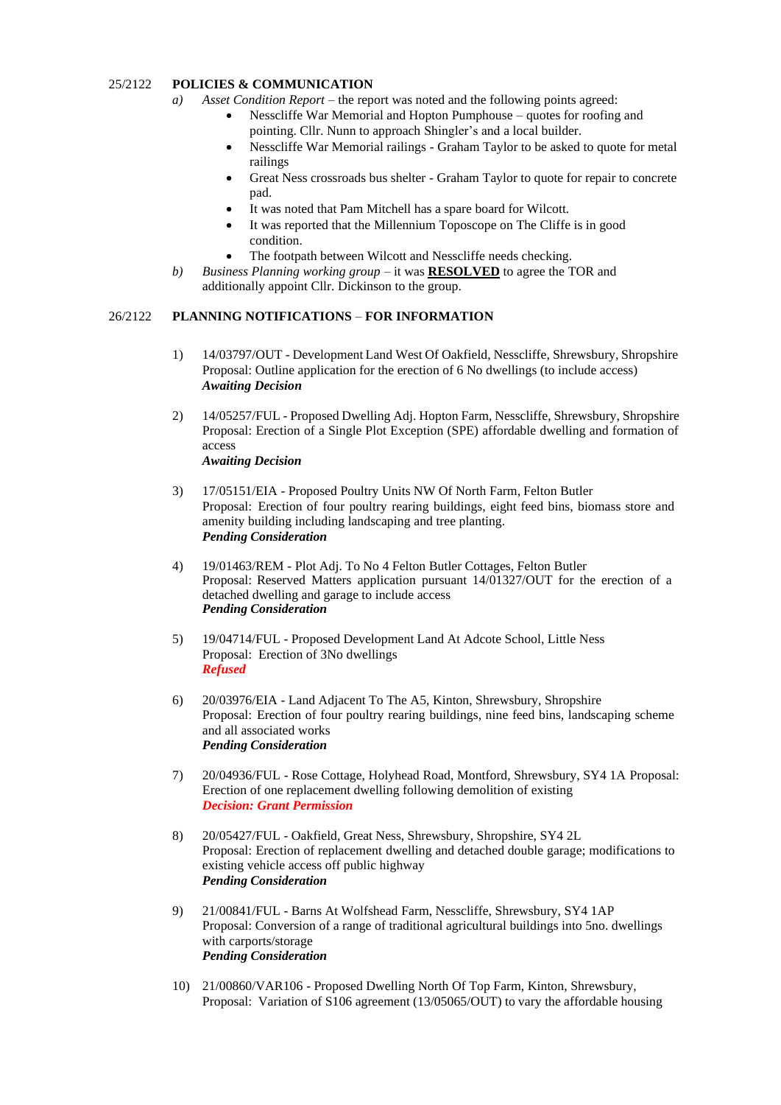## 25/2122 **POLICIES & COMMUNICATION**

- *a) Asset Condition Report –* the report was noted and the following points agreed:
	- Nesscliffe War Memorial and Hopton Pumphouse quotes for roofing and pointing. Cllr. Nunn to approach Shingler's and a local builder.
	- Nesscliffe War Memorial railings Graham Taylor to be asked to quote for metal railings
	- Great Ness crossroads bus shelter Graham Taylor to quote for repair to concrete pad.
	- It was noted that Pam Mitchell has a spare board for Wilcott.
	- It was reported that the Millennium Toposcope on The Cliffe is in good condition.
	- The footpath between Wilcott and Nesscliffe needs checking.
- *b) Business Planning working group –* it was **RESOLVED** to agree the TOR and additionally appoint Cllr. Dickinson to the group.

## 26/2122 **PLANNING NOTIFICATIONS** – **FOR INFORMATION**

- 1) 14/03797/OUT Development Land West Of Oakfield, Nesscliffe, Shrewsbury, Shropshire Proposal: Outline application for the erection of 6 No dwellings (to include access) *Awaiting Decision*
- 2) 14/05257/FUL Proposed Dwelling Adj. Hopton Farm, Nesscliffe, Shrewsbury, Shropshire Proposal: Erection of a Single Plot Exception (SPE) affordable dwelling and formation of access *Awaiting Decision*
- 3) 17/05151/EIA Proposed Poultry Units NW Of North Farm, Felton Butler Proposal: Erection of four poultry rearing buildings, eight feed bins, biomass store and amenity building including landscaping and tree planting. *Pending Consideration*
- 4) 19/01463/REM Plot Adj. To No 4 Felton Butler Cottages, Felton Butler Proposal: Reserved Matters application pursuant 14/01327/OUT for the erection of a detached dwelling and garage to include access *Pending Consideration*
- 5) 19/04714/FUL Proposed Development Land At Adcote School, Little Ness Proposal: Erection of 3No dwellings *Refused*
- 6) 20/03976/EIA Land Adjacent To The A5, Kinton, Shrewsbury, Shropshire Proposal: Erection of four poultry rearing buildings, nine feed bins, landscaping scheme and all associated works *Pending Consideration*
- 7) 20/04936/FUL Rose Cottage, Holyhead Road, Montford, Shrewsbury, SY4 1A Proposal: Erection of one replacement dwelling following demolition of existing *Decision: Grant Permission*
- 8) 20/05427/FUL Oakfield, Great Ness, Shrewsbury, Shropshire, SY4 2L Proposal: Erection of replacement dwelling and detached double garage; modifications to existing vehicle access off public highway *Pending Consideration*
- 9) 21/00841/FUL Barns At Wolfshead Farm, Nesscliffe, Shrewsbury, SY4 1AP Proposal: Conversion of a range of traditional agricultural buildings into 5no. dwellings with carports/storage *Pending Consideration*
- 10) 21/00860/VAR106 Proposed Dwelling North Of Top Farm, Kinton, Shrewsbury, Proposal: Variation of S106 agreement (13/05065/OUT) to vary the affordable housing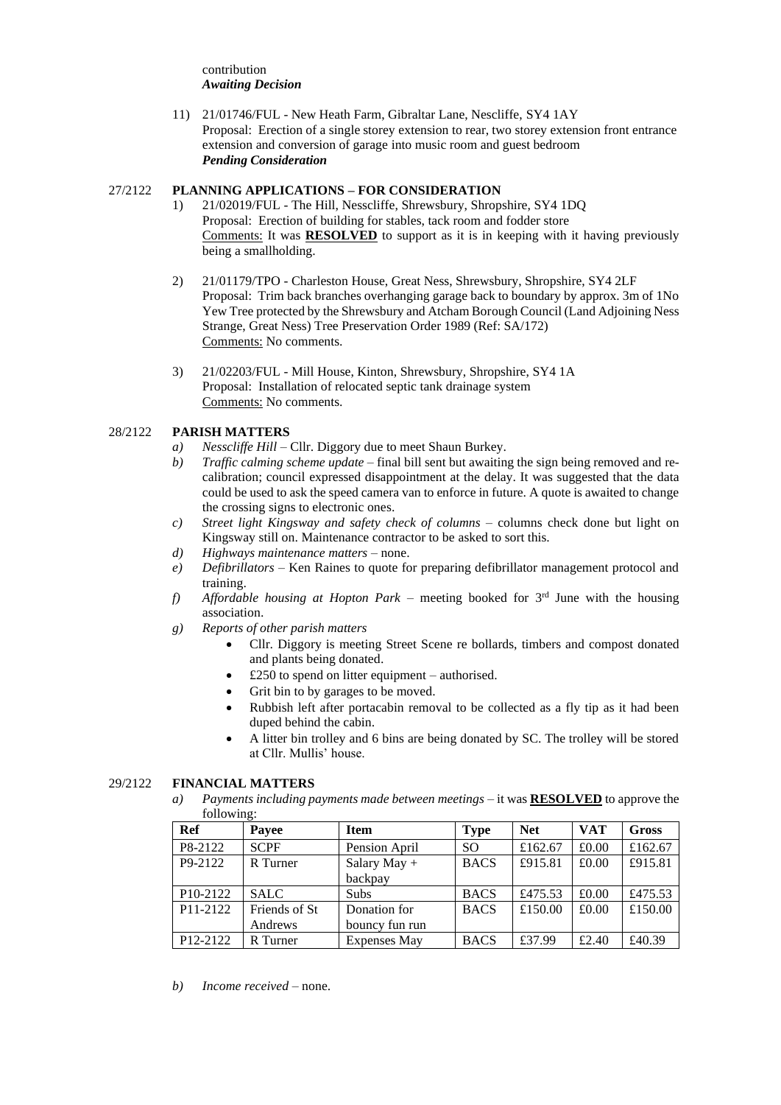contribution *Awaiting Decision*

11) 21/01746/FUL - New Heath Farm, Gibraltar Lane, Nescliffe, SY4 1AY Proposal: Erection of a single storey extension to rear, two storey extension front entrance extension and conversion of garage into music room and guest bedroom *Pending Consideration*

## 27/2122 **PLANNING APPLICATIONS – FOR CONSIDERATION**

- 1) 21/02019/FUL The Hill, Nesscliffe, Shrewsbury, Shropshire, SY4 1DQ Proposal: Erection of building for stables, tack room and fodder store Comments: It was **RESOLVED** to support as it is in keeping with it having previously being a smallholding.
- 2) 21/01179/TPO Charleston House, Great Ness, Shrewsbury, Shropshire, SY4 2LF Proposal: Trim back branches overhanging garage back to boundary by approx. 3m of 1No Yew Tree protected by the Shrewsbury and Atcham Borough Council (Land Adjoining Ness Strange, Great Ness) Tree Preservation Order 1989 (Ref: SA/172) Comments: No comments.
- 3) 21/02203/FUL Mill House, Kinton, Shrewsbury, Shropshire, SY4 1A Proposal: Installation of relocated septic tank drainage system Comments: No comments.

# 28/2122 **PARISH MATTERS**

- *a) Nesscliffe Hill* Cllr. Diggory due to meet Shaun Burkey.
- *b) Traffic calming scheme update* final bill sent but awaiting the sign being removed and recalibration; council expressed disappointment at the delay. It was suggested that the data could be used to ask the speed camera van to enforce in future. A quote is awaited to change the crossing signs to electronic ones.
- *c) Street light Kingsway and safety check of columns* columns check done but light on Kingsway still on. Maintenance contractor to be asked to sort this.
- *d) Highways maintenance matters* none.
- *e) Defibrillators* Ken Raines to quote for preparing defibrillator management protocol and training.
- f) Affordable housing at Hopton Park meeting booked for 3<sup>rd</sup> June with the housing association.
- *g) Reports of other parish matters* 
	- Cllr. Diggory is meeting Street Scene re bollards, timbers and compost donated and plants being donated.
	- £250 to spend on litter equipment authorised.
	- Grit bin to by garages to be moved.
	- Rubbish left after portacabin removal to be collected as a fly tip as it had been duped behind the cabin.
	- A litter bin trolley and 6 bins are being donated by SC. The trolley will be stored at Cllr. Mullis' house.

# 29/2122 **FINANCIAL MATTERS**

*a) Payments including payments made between meetings* – it was **RESOLVED** to approve the following:

| Ref                               | Payee         | <b>Item</b>         | <b>Type</b>   | <b>Net</b> | <b>VAT</b> | <b>Gross</b> |
|-----------------------------------|---------------|---------------------|---------------|------------|------------|--------------|
| P8-2122                           | <b>SCPF</b>   | Pension April       | <sub>SO</sub> | £162.67    | £0.00      | £162.67      |
| P9-2122                           | R Turner      | Salary May $+$      | <b>BACS</b>   | £915.81    | £0.00      | £915.81      |
|                                   |               | backpay             |               |            |            |              |
| P10-2122                          | <b>SALC</b>   | Subs                | <b>BACS</b>   | £475.53    | £0.00      | £475.53      |
| P11-2122                          | Friends of St | Donation for        | <b>BACS</b>   | £150.00    | £0.00      | £150.00      |
|                                   | Andrews       | bouncy fun run      |               |            |            |              |
| P <sub>12</sub> -2 <sub>122</sub> | R Turner      | <b>Expenses May</b> | <b>BACS</b>   | £37.99     | £2.40      | £40.39       |

*b) Income received* – none.